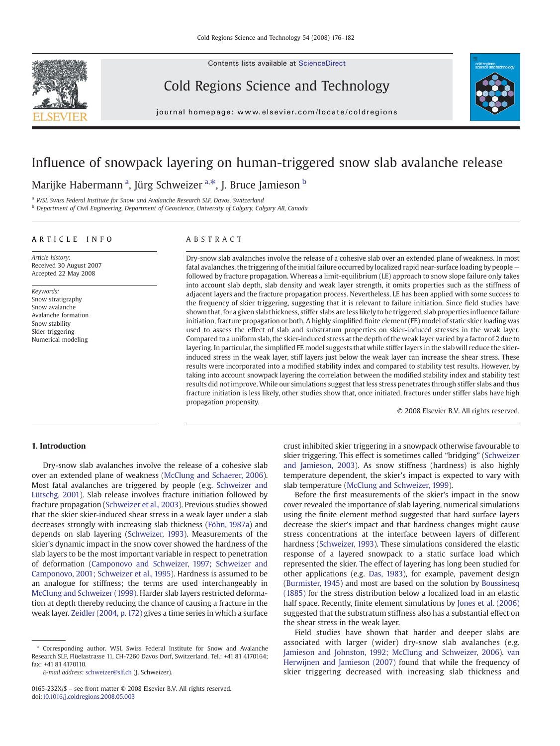Contents lists available at [ScienceDirect](http://www.sciencedirect.com/science/journal/0165232X)



Cold Regions Science and Technology



journal homepage: www.elsevier.com/locate/coldregions

# Influence of snowpack layering on human-triggered snow slab avalanche release

Marijke Habermann <sup>a</sup>, Jürg Schweizer <sup>a,\*</sup>, J. Bruce Jamieson <sup>b</sup>

a WSL Swiss Federal Institute for Snow and Avalanche Research SLF, Davos, Switzerland

<sup>b</sup> Department of Civil Engineering, Department of Geoscience, University of Calgary, Calgary AB, Canada

# ARTICLE INFO ABSTRACT

Article history: Received 30 August 2007 Accepted 22 May 2008

Keywords: Snow stratigraphy Snow avalanche Avalanche formation Snow stability Skier triggering Numerical modeling

Dry-snow slab avalanches involve the release of a cohesive slab over an extended plane of weakness. In most fatal avalanches, the triggering of the initial failure occurred by localized rapid near-surface loading by people followed by fracture propagation. Whereas a limit-equilibrium (LE) approach to snow slope failure only takes into account slab depth, slab density and weak layer strength, it omits properties such as the stiffness of adjacent layers and the fracture propagation process. Nevertheless, LE has been applied with some success to the frequency of skier triggering, suggesting that it is relevant to failure initiation. Since field studies have shown that, for a given slab thickness, stiffer slabs are less likely to be triggered, slab properties influence failure initiation, fracture propagation or both. A highly simplified finite element (FE) model of static skier loading was used to assess the effect of slab and substratum properties on skier-induced stresses in the weak layer. Compared to a uniform slab, the skier-induced stress at the depth of the weak layer varied by a factor of 2 due to layering. In particular, the simplified FE model suggests that while stiffer layers in the slab will reduce the skierinduced stress in the weak layer, stiff layers just below the weak layer can increase the shear stress. These results were incorporated into a modified stability index and compared to stability test results. However, by taking into account snowpack layering the correlation between the modified stability index and stability test results did not improve. While our simulations suggest that less stress penetrates through stiffer slabs and thus fracture initiation is less likely, other studies show that, once initiated, fractures under stiffer slabs have high propagation propensity.

© 2008 Elsevier B.V. All rights reserved.

### 1. Introduction

Dry-snow slab avalanches involve the release of a cohesive slab over an extended plane of weakness ([McClung and Schaerer, 2006](#page-6-0)). Most fatal avalanches are triggered by people (e.g. [Schweizer and](#page-6-0) [Lütschg, 2001\)](#page-6-0). Slab release involves fracture initiation followed by fracture propagation [\(Schweizer et al., 2003\)](#page-6-0). Previous studies showed that the skier skier-induced shear stress in a weak layer under a slab decreases strongly with increasing slab thickness [\(Föhn, 1987a](#page-6-0)) and depends on slab layering [\(Schweizer, 1993\)](#page-6-0). Measurements of the skier's dynamic impact in the snow cover showed the hardness of the slab layers to be the most important variable in respect to penetration of deformation [\(Camponovo and Schweizer, 1997; Schweizer and](#page-5-0) [Camponovo, 2001; Schweizer et al., 1995\)](#page-5-0). Hardness is assumed to be an analogue for stiffness; the terms are used interchangeably in [McClung and Schweizer \(1999\)](#page-6-0). Harder slab layers restricted deformation at depth thereby reducing the chance of causing a fracture in the weak layer. [Zeidler \(2004, p. 172\)](#page-6-0) gives a time series in which a surface

crust inhibited skier triggering in a snowpack otherwise favourable to skier triggering. This effect is sometimes called "bridging" ([Schweizer](#page-6-0) [and Jamieson, 2003\)](#page-6-0). As snow stiffness (hardness) is also highly temperature dependent, the skier's impact is expected to vary with slab temperature [\(McClung and Schweizer, 1999](#page-6-0)).

Before the first measurements of the skier's impact in the snow cover revealed the importance of slab layering, numerical simulations using the finite element method suggested that hard surface layers decrease the skier's impact and that hardness changes might cause stress concentrations at the interface between layers of different hardness ([Schweizer, 1993\)](#page-6-0). These simulations considered the elastic response of a layered snowpack to a static surface load which represented the skier. The effect of layering has long been studied for other applications (e.g. [Das, 1983\)](#page-6-0), for example, pavement design ([Burmister, 1945\)](#page-5-0) and most are based on the solution by [Boussinesq](#page-5-0) [\(1885\)](#page-5-0) for the stress distribution below a localized load in an elastic half space. Recently, finite element simulations by [Jones et al. \(2006\)](#page-6-0) suggested that the substratum stiffness also has a substantial effect on the shear stress in the weak layer.

Field studies have shown that harder and deeper slabs are associated with larger (wider) dry-snow slab avalanches (e.g. [Jamieson and Johnston, 1992; McClung and Schweizer, 2006](#page-6-0)). [van](#page-6-0) [Herwijnen and Jamieson \(2007\)](#page-6-0) found that while the frequency of skier triggering decreased with increasing slab thickness and

<sup>⁎</sup> Corresponding author. WSL Swiss Federal Institute for Snow and Avalanche Research SLF, Flüelastrasse 11, CH-7260 Davos Dorf, Switzerland. Tel.: +41 81 4170164; fax: +41 81 4170110.

E-mail address: [schweizer@slf.ch](mailto:schweizer@slf.ch) (J. Schweizer).

<sup>0165-232</sup>X/\$ – see front matter © 2008 Elsevier B.V. All rights reserved. doi[:10.1016/j.coldregions.2008.05.003](http://dx.doi.org/10.1016/j.coldregions.2008.05.003)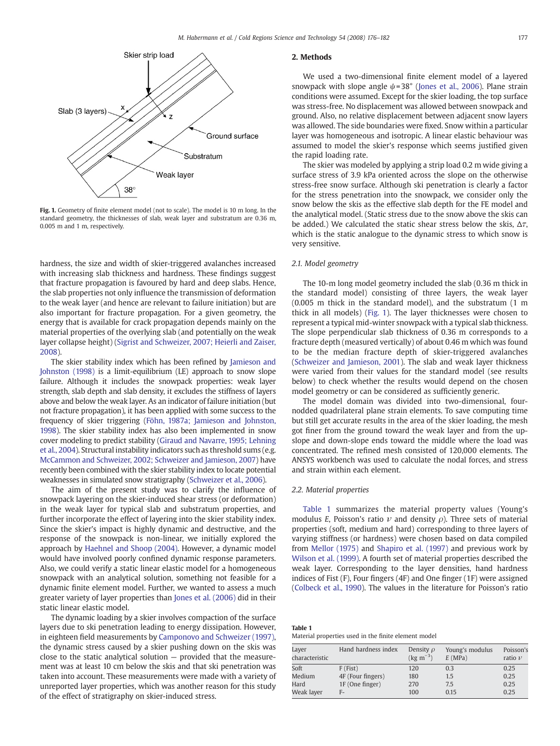

Fig. 1. Geometry of finite element model (not to scale). The model is 10 m long. In the standard geometry, the thicknesses of slab, weak layer and substratum are 0.36 m, 0.005 m and 1 m, respectively.

hardness, the size and width of skier-triggered avalanches increased with increasing slab thickness and hardness. These findings suggest that fracture propagation is favoured by hard and deep slabs. Hence, the slab properties not only influence the transmission of deformation to the weak layer (and hence are relevant to failure initiation) but are also important for fracture propagation. For a given geometry, the energy that is available for crack propagation depends mainly on the material properties of the overlying slab (and potentially on the weak layer collapse height) ([Sigrist and Schweizer, 2007; Heierli and Zaiser,](#page-6-0) [2008](#page-6-0)).

The skier stability index which has been refined by [Jamieson and](#page-6-0) [Johnston \(1998\)](#page-6-0) is a limit-equilibrium (LE) approach to snow slope failure. Although it includes the snowpack properties: weak layer strength, slab depth and slab density, it excludes the stiffness of layers above and below the weak layer. As an indicator of failure initiation (but not fracture propagation), it has been applied with some success to the frequency of skier triggering ([Föhn, 1987a; Jamieson and Johnston,](#page-6-0) [1998\)](#page-6-0). The skier stability index has also been implemented in snow cover modeling to predict stability [\(Giraud and Navarre, 1995; Lehning](#page-6-0) [et al., 2004](#page-6-0)). Structural instability indicators such as threshold sums (e.g. [McCammon and Schweizer, 2002; Schweizer and Jamieson, 2007](#page-6-0)) have recently been combined with the skier stability index to locate potential weaknesses in simulated snow stratigraphy ([Schweizer et al., 2006](#page-6-0)).

The aim of the present study was to clarify the influence of snowpack layering on the skier-induced shear stress (or deformation) in the weak layer for typical slab and substratum properties, and further incorporate the effect of layering into the skier stability index. Since the skier's impact is highly dynamic and destructive, and the response of the snowpack is non-linear, we initially explored the approach by [Haehnel and Shoop \(2004\).](#page-6-0) However, a dynamic model would have involved poorly confined dynamic response parameters. Also, we could verify a static linear elastic model for a homogeneous snowpack with an analytical solution, something not feasible for a dynamic finite element model. Further, we wanted to assess a much greater variety of layer properties than [Jones et al. \(2006\)](#page-6-0) did in their static linear elastic model.

The dynamic loading by a skier involves compaction of the surface layers due to ski penetration leading to energy dissipation. However, in eighteen field measurements by [Camponovo and Schweizer \(1997\),](#page-5-0) the dynamic stress caused by a skier pushing down on the skis was close to the static analytical solution — provided that the measurement was at least 10 cm below the skis and that ski penetration was taken into account. These measurements were made with a variety of unreported layer properties, which was another reason for this study of the effect of stratigraphy on skier-induced stress.

# 2. Methods

We used a two-dimensional finite element model of a layered snowpack with slope angle  $\psi$ =38° [\(Jones et al., 2006\)](#page-6-0). Plane strain conditions were assumed. Except for the skier loading, the top surface was stress-free. No displacement was allowed between snowpack and ground. Also, no relative displacement between adjacent snow layers was allowed. The side boundaries were fixed. Snow within a particular layer was homogeneous and isotropic. A linear elastic behaviour was assumed to model the skier's response which seems justified given the rapid loading rate.

The skier was modeled by applying a strip load 0.2 m wide giving a surface stress of 3.9 kPa oriented across the slope on the otherwise stress-free snow surface. Although ski penetration is clearly a factor for the stress penetration into the snowpack, we consider only the snow below the skis as the effective slab depth for the FE model and the analytical model. (Static stress due to the snow above the skis can be added.) We calculated the static shear stress below the skis,  $\Delta \tau$ . which is the static analogue to the dynamic stress to which snow is very sensitive.

# 2.1. Model geometry

The 10-m long model geometry included the slab (0.36 m thick in the standard model) consisting of three layers, the weak layer (0.005 m thick in the standard model), and the substratum (1 m thick in all models) (Fig. 1). The layer thicknesses were chosen to represent a typical mid-winter snowpack with a typical slab thickness. The slope perpendicular slab thickness of 0.36 m corresponds to a fracture depth (measured vertically) of about 0.46 m which was found to be the median fracture depth of skier-triggered avalanches [\(Schweizer and Jamieson, 2001](#page-6-0)). The slab and weak layer thickness were varied from their values for the standard model (see results below) to check whether the results would depend on the chosen model geometry or can be considered as sufficiently generic.

The model domain was divided into two-dimensional, fournodded quadrilateral plane strain elements. To save computing time but still get accurate results in the area of the skier loading, the mesh got finer from the ground toward the weak layer and from the upslope and down-slope ends toward the middle where the load was concentrated. The refined mesh consisted of 120,000 elements. The ANSYS workbench was used to calculate the nodal forces, and stress and strain within each element.

#### 2.2. Material properties

Table 1 summarizes the material property values (Young's modulus E, Poisson's ratio  $\nu$  and density  $\rho$ ). Three sets of material properties (soft, medium and hard) corresponding to three layers of varying stiffness (or hardness) were chosen based on data compiled from [Mellor \(1975\)](#page-6-0) and [Shapiro et al. \(1997\)](#page-6-0) and previous work by [Wilson et al. \(1999\).](#page-6-0) A fourth set of material properties described the weak layer. Corresponding to the layer densities, hand hardness indices of Fist (F), Four fingers (4F) and One finger (1F) were assigned [\(Colbeck et al., 1990\)](#page-5-0). The values in the literature for Poisson's ratio

| Table 1 |                                                      |  |  |  |
|---------|------------------------------------------------------|--|--|--|
|         | Material properties used in the finite element model |  |  |  |

| Layer<br>characteristic | Hand hardness index | Density $\rho$<br>$(kg \, m^{-3})$ | Young's modulus<br>E(MPa) | Poisson's<br>ratio $\nu$ |
|-------------------------|---------------------|------------------------------------|---------------------------|--------------------------|
| Soft                    | $F$ (Fist)          | 120                                | 0.3                       | 0.25                     |
| Medium                  | 4F (Four fingers)   | 180                                | 1.5                       | 0.25                     |
| Hard                    | 1F (One finger)     | 270                                | 7.5                       | 0.25                     |
| Weak layer              | F-                  | 100                                | 0.15                      | 0.25                     |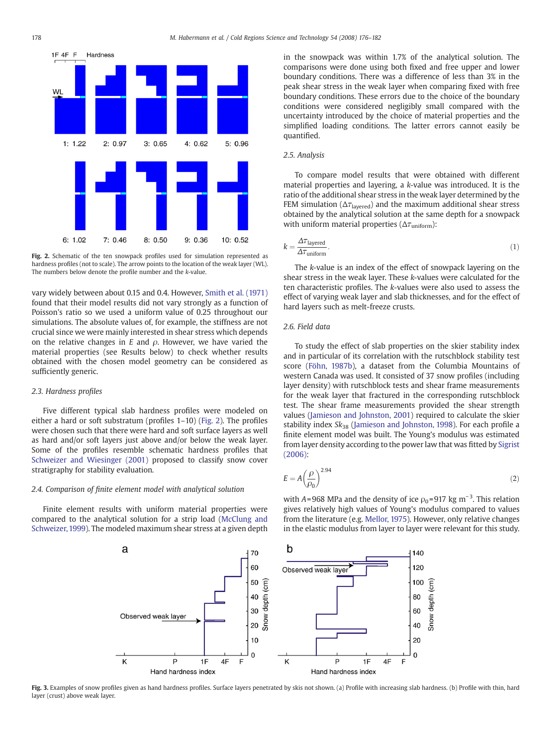<span id="page-2-0"></span>

Fig. 2. Schematic of the ten snowpack profiles used for simulation represented as hardness profiles (not to scale). The arrow points to the location of the weak layer (WL). The numbers below denote the profile number and the k-value.

vary widely between about 0.15 and 0.4. However, [Smith et al. \(1971\)](#page-6-0) found that their model results did not vary strongly as a function of Poisson's ratio so we used a uniform value of 0.25 throughout our simulations. The absolute values of, for example, the stiffness are not crucial since we were mainly interested in shear stress which depends on the relative changes in E and  $\rho$ . However, we have varied the material properties (see Results below) to check whether results obtained with the chosen model geometry can be considered as sufficiently generic.

# 2.3. Hardness profiles

Five different typical slab hardness profiles were modeled on either a hard or soft substratum (profiles 1–10) (Fig. 2). The profiles were chosen such that there were hard and soft surface layers as well as hard and/or soft layers just above and/or below the weak layer. Some of the profiles resemble schematic hardness profiles that [Schweizer and Wiesinger \(2001\)](#page-6-0) proposed to classify snow cover stratigraphy for stability evaluation.

#### 2.4. Comparison of finite element model with analytical solution

Finite element results with uniform material properties were compared to the analytical solution for a strip load ([McClung and](#page-6-0) [Schweizer, 1999\)](#page-6-0). The modeled maximum shear stress at a given depth in the snowpack was within 1.7% of the analytical solution. The comparisons were done using both fixed and free upper and lower boundary conditions. There was a difference of less than 3% in the peak shear stress in the weak layer when comparing fixed with free boundary conditions. These errors due to the choice of the boundary conditions were considered negligibly small compared with the uncertainty introduced by the choice of material properties and the simplified loading conditions. The latter errors cannot easily be quantified.

# 2.5. Analysis

To compare model results that were obtained with different material properties and layering, a k-value was introduced. It is the ratio of the additional shear stress in the weak layer determined by the FEM simulation ( $\Delta \tau_{\text{layered}}$ ) and the maximum additional shear stress obtained by the analytical solution at the same depth for a snowpack with uniform material properties ( $\Delta \tau_{\text{uniform}}$ ):

$$
k = \frac{\Delta \tau_{\text{layered}}}{\Delta \tau_{\text{uniform}}}.\tag{1}
$$

The k-value is an index of the effect of snowpack layering on the shear stress in the weak layer. These k-values were calculated for the ten characteristic profiles. The k-values were also used to assess the effect of varying weak layer and slab thicknesses, and for the effect of hard layers such as melt-freeze crusts.

# 2.6. Field data

To study the effect of slab properties on the skier stability index and in particular of its correlation with the rutschblock stability test score [\(Föhn, 1987b\)](#page-6-0), a dataset from the Columbia Mountains of western Canada was used. It consisted of 37 snow profiles (including layer density) with rutschblock tests and shear frame measurements for the weak layer that fractured in the corresponding rutschblock test. The shear frame measurements provided the shear strength values [\(Jamieson and Johnston, 2001\)](#page-6-0) required to calculate the skier stability index  $Sk_{38}$  [\(Jamieson and Johnston, 1998\)](#page-6-0). For each profile a finite element model was built. The Young's modulus was estimated from layer density according to the power law that was fitted by [Sigrist](#page-6-0) [\(2006\)](#page-6-0):

$$
E = A \left(\frac{\rho}{\rho_0}\right)^{2.94} \tag{2}
$$

with A=968 MPa and the density of ice  $\rho_0 = 917$  kg m<sup>-3</sup>. This relation gives relatively high values of Young's modulus compared to values from the literature (e.g. [Mellor, 1975\)](#page-6-0). However, only relative changes in the elastic modulus from layer to layer were relevant for this study.



Fig. 3. Examples of snow profiles given as hand hardness profiles. Surface layers penetrated by skis not shown. (a) Profile with increasing slab hardness. (b) Profile with thin, hard layer (crust) above weak layer.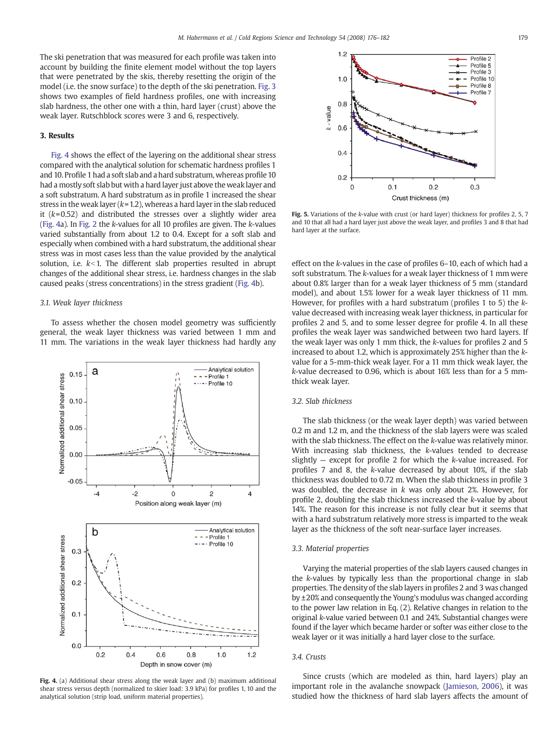<span id="page-3-0"></span>The ski penetration that was measured for each profile was taken into account by building the finite element model without the top layers that were penetrated by the skis, thereby resetting the origin of the model (i.e. the snow surface) to the depth of the ski penetration. [Fig. 3](#page-2-0) shows two examples of field hardness profiles, one with increasing slab hardness, the other one with a thin, hard layer (crust) above the weak layer. Rutschblock scores were 3 and 6, respectively.

# 3. Results

Fig. 4 shows the effect of the layering on the additional shear stress compared with the analytical solution for schematic hardness profiles 1 and 10. Profile 1 had a soft slab and a hard substratum, whereas profile 10 had a mostly soft slab but with a hard layer just above the weak layer and a soft substratum. A hard substratum as in profile 1 increased the shear stress in the weak layer ( $k=1.2$ ), whereas a hard layer in the slab reduced it  $(k=0.52)$  and distributed the stresses over a slightly wider area (Fig. 4a). In [Fig. 2](#page-2-0) the k-values for all 10 profiles are given. The k-values varied substantially from about 1.2 to 0.4. Except for a soft slab and especially when combined with a hard substratum, the additional shear stress was in most cases less than the value provided by the analytical solution, i.e.  $k<1$ . The different slab properties resulted in abrupt changes of the additional shear stress, i.e. hardness changes in the slab caused peaks (stress concentrations) in the stress gradient (Fig. 4b).

#### 3.1. Weak layer thickness

To assess whether the chosen model geometry was sufficiently general, the weak layer thickness was varied between 1 mm and 11 mm. The variations in the weak layer thickness had hardly any



Fig. 4. (a) Additional shear stress along the weak layer and (b) maximum additional shear stress versus depth (normalized to skier load: 3.9 kPa) for profiles 1, 10 and the analytical solution (strip load, uniform material properties).



Fig. 5. Variations of the k-value with crust (or hard layer) thickness for profiles 2, 5, 7 and 10 that all had a hard layer just above the weak layer, and profiles 3 and 8 that had hard layer at the surface.

effect on the k-values in the case of profiles 6–10, each of which had a soft substratum. The k-values for a weak layer thickness of 1 mm were about 0.8% larger than for a weak layer thickness of 5 mm (standard model), and about 1.5% lower for a weak layer thickness of 11 mm. However, for profiles with a hard substratum (profiles 1 to 5) the kvalue decreased with increasing weak layer thickness, in particular for profiles 2 and 5, and to some lesser degree for profile 4. In all these profiles the weak layer was sandwiched between two hard layers. If the weak layer was only 1 mm thick, the k-values for profiles 2 and 5 increased to about 1.2, which is approximately 25% higher than the kvalue for a 5-mm-thick weak layer. For a 11 mm thick weak layer, the k-value decreased to 0.96, which is about 16% less than for a 5 mmthick weak layer.

# 3.2. Slab thickness

The slab thickness (or the weak layer depth) was varied between 0.2 m and 1.2 m, and the thickness of the slab layers were was scaled with the slab thickness. The effect on the k-value was relatively minor. With increasing slab thickness, the k-values tended to decrease slightly  $-$  except for profile 2 for which the k-value increased. For profiles 7 and 8, the k-value decreased by about 10%, if the slab thickness was doubled to 0.72 m. When the slab thickness in profile 3 was doubled, the decrease in  $k$  was only about 2%. However, for profile 2, doubling the slab thickness increased the k-value by about 14%. The reason for this increase is not fully clear but it seems that with a hard substratum relatively more stress is imparted to the weak layer as the thickness of the soft near-surface layer increases.

#### 3.3. Material properties

Varying the material properties of the slab layers caused changes in the k-values by typically less than the proportional change in slab properties. The density of the slab layers in profiles 2 and 3 was changed by ±20% and consequently the Young's modulus was changed according to the power law relation in Eq. (2). Relative changes in relation to the original k-value varied between 0.1 and 24%. Substantial changes were found if the layer which became harder or softer was either close to the weak layer or it was initially a hard layer close to the surface.

# 3.4. Crusts

Since crusts (which are modeled as thin, hard layers) play an important role in the avalanche snowpack ([Jamieson, 2006](#page-6-0)), it was studied how the thickness of hard slab layers affects the amount of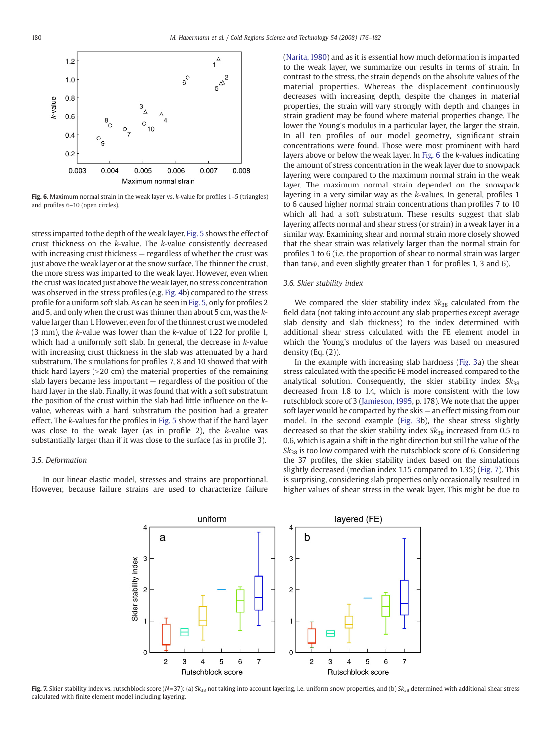

Fig. 6. Maximum normal strain in the weak layer vs. k-value for profiles 1-5 (triangles) and profiles 6–10 (open circles).

stress imparted to the depth of the weak layer. [Fig. 5](#page-3-0) shows the effect of crust thickness on the k-value. The k-value consistently decreased with increasing crust thickness — regardless of whether the crust was just above the weak layer or at the snow surface. The thinner the crust, the more stress was imparted to the weak layer. However, even when the crust was located just above the weak layer, no stress concentration was observed in the stress profiles (e.g. [Fig. 4](#page-3-0)b) compared to the stress profile for a uniform soft slab. As can be seen in [Fig. 5](#page-3-0), only for profiles 2 and 5, and only when the crust was thinner than about 5 cm, was the kvalue larger than 1. However, even for of the thinnest crust we modeled (3 mm), the k-value was lower than the k-value of 1.22 for profile 1, which had a uniformly soft slab. In general, the decrease in k-value with increasing crust thickness in the slab was attenuated by a hard substratum. The simulations for profiles 7, 8 and 10 showed that with thick hard layers  $(>20 \text{ cm})$  the material properties of the remaining slab layers became less important — regardless of the position of the hard layer in the slab. Finally, it was found that with a soft substratum the position of the crust within the slab had little influence on the kvalue, whereas with a hard substratum the position had a greater effect. The k-values for the profiles in [Fig. 5](#page-3-0) show that if the hard layer was close to the weak layer (as in profile 2), the k-value was substantially larger than if it was close to the surface (as in profile 3).

# 3.5. Deformation

In our linear elastic model, stresses and strains are proportional. However, because failure strains are used to characterize failure ([Narita, 1980\)](#page-6-0) and as it is essential how much deformation is imparted to the weak layer, we summarize our results in terms of strain. In contrast to the stress, the strain depends on the absolute values of the material properties. Whereas the displacement continuously decreases with increasing depth, despite the changes in material properties, the strain will vary strongly with depth and changes in strain gradient may be found where material properties change. The lower the Young's modulus in a particular layer, the larger the strain. In all ten profiles of our model geometry, significant strain concentrations were found. Those were most prominent with hard layers above or below the weak layer. In Fig. 6 the k-values indicating the amount of stress concentration in the weak layer due to snowpack layering were compared to the maximum normal strain in the weak layer. The maximum normal strain depended on the snowpack layering in a very similar way as the k-values. In general, profiles 1 to 6 caused higher normal strain concentrations than profiles 7 to 10 which all had a soft substratum. These results suggest that slab layering affects normal and shear stress (or strain) in a weak layer in a similar way. Examining shear and normal strain more closely showed that the shear strain was relatively larger than the normal strain for profiles 1 to 6 (i.e. the proportion of shear to normal strain was larger than tan $\psi$ , and even slightly greater than 1 for profiles 1, 3 and 6).

#### 3.6. Skier stability index

We compared the skier stability index  $Sk_{38}$  calculated from the field data (not taking into account any slab properties except average slab density and slab thickness) to the index determined with additional shear stress calculated with the FE element model in which the Young's modulus of the layers was based on measured density (Eq. (2)).

In the example with increasing slab hardness [\(Fig. 3](#page-2-0)a) the shear stress calculated with the specific FE model increased compared to the analytical solution. Consequently, the skier stability index  $Sk_{38}$ decreased from 1.8 to 1.4, which is more consistent with the low rutschblock score of 3 ([Jamieson, 1995](#page-6-0), p. 178). We note that the upper soft layer would be compacted by the skis — an effect missing from our model. In the second example [\(Fig. 3](#page-2-0)b), the shear stress slightly decreased so that the skier stability index  $Sk_{38}$  increased from 0.5 to 0.6, which is again a shift in the right direction but still the value of the  $Sk_{38}$  is too low compared with the rutschblock score of 6. Considering the 37 profiles, the skier stability index based on the simulations slightly decreased (median index 1.15 compared to 1.35) (Fig. 7). This is surprising, considering slab properties only occasionally resulted in higher values of shear stress in the weak layer. This might be due to



Fig. 7. Skier stability index vs. rutschblock score (N=37): (a) Sk<sub>38</sub> not taking into account layering, i.e. uniform snow properties, and (b) Sk<sub>38</sub> determined with additional shear stress calculated with finite element model including layering.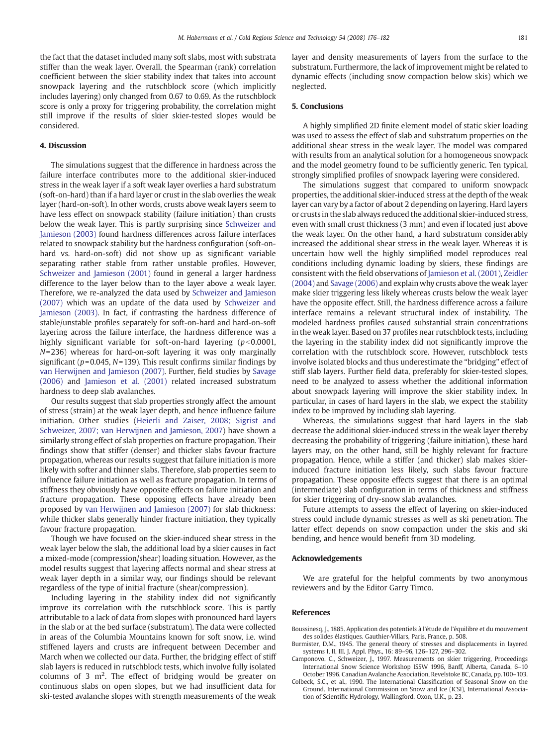<span id="page-5-0"></span>the fact that the dataset included many soft slabs, most with substrata stiffer than the weak layer. Overall, the Spearman (rank) correlation coefficient between the skier stability index that takes into account snowpack layering and the rutschblock score (which implicitly includes layering) only changed from 0.67 to 0.69. As the rutschblock score is only a proxy for triggering probability, the correlation might still improve if the results of skier skier-tested slopes would be considered.

#### 4. Discussion

The simulations suggest that the difference in hardness across the failure interface contributes more to the additional skier-induced stress in the weak layer if a soft weak layer overlies a hard substratum (soft-on-hard) than if a hard layer or crust in the slab overlies the weak layer (hard-on-soft). In other words, crusts above weak layers seem to have less effect on snowpack stability (failure initiation) than crusts below the weak layer. This is partly surprising since [Schweizer and](#page-6-0) [Jamieson \(2003\)](#page-6-0) found hardness differences across failure interfaces related to snowpack stability but the hardness configuration (soft-onhard vs. hard-on-soft) did not show up as significant variable separating rather stable from rather unstable profiles. However, [Schweizer and Jamieson \(2001\)](#page-6-0) found in general a larger hardness difference to the layer below than to the layer above a weak layer. Therefore, we re-analyzed the data used by [Schweizer and Jamieson](#page-6-0) [\(2007\)](#page-6-0) which was an update of the data used by [Schweizer and](#page-6-0) [Jamieson \(2003\).](#page-6-0) In fact, if contrasting the hardness difference of stable/unstable profiles separately for soft-on-hard and hard-on-soft layering across the failure interface, the hardness difference was a highly significant variable for soft-on-hard layering  $(p<0.0001,$ N= 236) whereas for hard-on-soft layering it was only marginally significant ( $p = 0.045$ ,  $N = 139$ ). This result confirms similar findings by [van Herwijnen and Jamieson \(2007\)](#page-6-0). Further, field studies by [Savage](#page-6-0) [\(2006\)](#page-6-0) and [Jamieson et al. \(2001\)](#page-6-0) related increased substratum hardness to deep slab avalanches.

Our results suggest that slab properties strongly affect the amount of stress (strain) at the weak layer depth, and hence influence failure initiation. Other studies [\(Heierli and Zaiser, 2008; Sigrist and](#page-6-0) [Schweizer, 2007; van Herwijnen and Jamieson, 2007\)](#page-6-0) have shown a similarly strong effect of slab properties on fracture propagation. Their findings show that stiffer (denser) and thicker slabs favour fracture propagation, whereas our results suggest that failure initiation is more likely with softer and thinner slabs. Therefore, slab properties seem to influence failure initiation as well as fracture propagation. In terms of stiffness they obviously have opposite effects on failure initiation and fracture propagation. These opposing effects have already been proposed by [van Herwijnen and Jamieson \(2007\)](#page-6-0) for slab thickness: while thicker slabs generally hinder fracture initiation, they typically favour fracture propagation.

Though we have focused on the skier-induced shear stress in the weak layer below the slab, the additional load by a skier causes in fact a mixed-mode (compression/shear) loading situation. However, as the model results suggest that layering affects normal and shear stress at weak layer depth in a similar way, our findings should be relevant regardless of the type of initial fracture (shear/compression).

Including layering in the stability index did not significantly improve its correlation with the rutschblock score. This is partly attributable to a lack of data from slopes with pronounced hard layers in the slab or at the bed surface (substratum). The data were collected in areas of the Columbia Mountains known for soft snow, i.e. wind stiffened layers and crusts are infrequent between December and March when we collected our data. Further, the bridging effect of stiff slab layers is reduced in rutschblock tests, which involve fully isolated columns of  $3 \text{ m}^2$ . The effect of bridging would be greater on continuous slabs on open slopes, but we had insufficient data for ski-tested avalanche slopes with strength measurements of the weak layer and density measurements of layers from the surface to the substratum. Furthermore, the lack of improvement might be related to dynamic effects (including snow compaction below skis) which we neglected.

### 5. Conclusions

A highly simplified 2D finite element model of static skier loading was used to assess the effect of slab and substratum properties on the additional shear stress in the weak layer. The model was compared with results from an analytical solution for a homogeneous snowpack and the model geometry found to be sufficiently generic. Ten typical, strongly simplified profiles of snowpack layering were considered.

The simulations suggest that compared to uniform snowpack properties, the additional skier-induced stress at the depth of the weak layer can vary by a factor of about 2 depending on layering. Hard layers or crusts in the slab always reduced the additional skier-induced stress, even with small crust thickness (3 mm) and even if located just above the weak layer. On the other hand, a hard substratum considerably increased the additional shear stress in the weak layer. Whereas it is uncertain how well the highly simplified model reproduces real conditions including dynamic loading by skiers, these findings are consistent with the field observations of [Jamieson et al. \(2001\),](#page-6-0) [Zeidler](#page-6-0) [\(2004\)](#page-6-0) and [Savage \(2006\)](#page-6-0) and explain why crusts above the weak layer make skier triggering less likely whereas crusts below the weak layer have the opposite effect. Still, the hardness difference across a failure interface remains a relevant structural index of instability. The modeled hardness profiles caused substantial strain concentrations in the weak layer. Based on 37 profiles near rutschblock tests, including the layering in the stability index did not significantly improve the correlation with the rutschblock score. However, rutschblock tests involve isolated blocks and thus underestimate the "bridging" effect of stiff slab layers. Further field data, preferably for skier-tested slopes, need to be analyzed to assess whether the additional information about snowpack layering will improve the skier stability index. In particular, in cases of hard layers in the slab, we expect the stability index to be improved by including slab layering.

Whereas, the simulations suggest that hard layers in the slab decrease the additional skier-induced stress in the weak layer thereby decreasing the probability of triggering (failure initiation), these hard layers may, on the other hand, still be highly relevant for fracture propagation. Hence, while a stiffer (and thicker) slab makes skierinduced fracture initiation less likely, such slabs favour fracture propagation. These opposite effects suggest that there is an optimal (intermediate) slab configuration in terms of thickness and stiffness for skier triggering of dry-snow slab avalanches.

Future attempts to assess the effect of layering on skier-induced stress could include dynamic stresses as well as ski penetration. The latter effect depends on snow compaction under the skis and ski bending, and hence would benefit from 3D modeling.

#### Acknowledgements

We are grateful for the helpful comments by two anonymous reviewers and by the Editor Garry Timco.

#### References

- Boussinesq, J., 1885. Application des potentiels à l'étude de l'équilibre et du mouvement des solides élastiques. Gauthier-Villars, Paris, France, p. 508.
- Burmister, D.M., 1945. The general theory of stresses and displacements in layered systems I, II, III. J. Appl. Phys., 16: 89–96, 126–127, 296–302.
- Camponovo, C., Schweizer, J., 1997. Measurements on skier triggering, Proceedings International Snow Science Workshop ISSW 1996, Banff, Alberta, Canada, 6–10 October 1996. Canadian Avalanche Association, Revelstoke BC, Canada, pp. 100–103.
- Colbeck, S.C., et al., 1990. The International Classification of Seasonal Snow on the Ground. International Commission on Snow and Ice (ICSI), International Association of Scientific Hydrology, Wallingford, Oxon, U.K., p. 23.